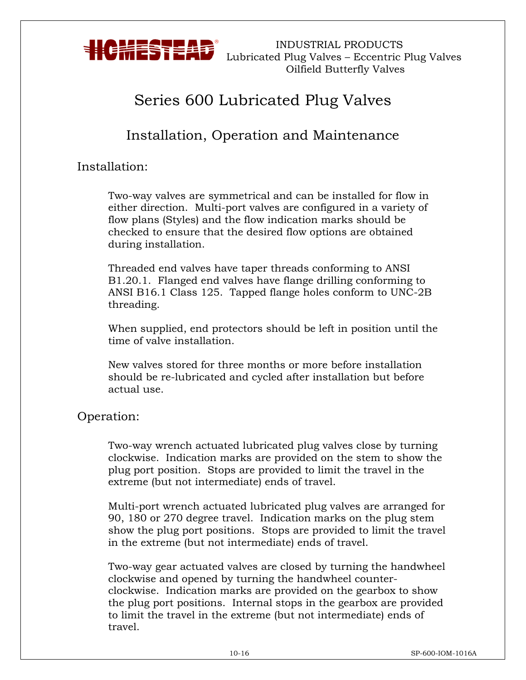

 INDUSTRIAL PRODUCTS Lubricated Plug Valves – Eccentric Plug Valves Oilfield Butterfly Valves

# Series 600 Lubricated Plug Valves

## Installation, Operation and Maintenance

### Installation:

Two-way valves are symmetrical and can be installed for flow in either direction. Multi-port valves are configured in a variety of flow plans (Styles) and the flow indication marks should be checked to ensure that the desired flow options are obtained during installation.

Threaded end valves have taper threads conforming to ANSI B1.20.1. Flanged end valves have flange drilling conforming to ANSI B16.1 Class 125. Tapped flange holes conform to UNC-2B threading.

When supplied, end protectors should be left in position until the time of valve installation.

New valves stored for three months or more before installation should be re-lubricated and cycled after installation but before actual use.

#### Operation:

Two-way wrench actuated lubricated plug valves close by turning clockwise. Indication marks are provided on the stem to show the plug port position. Stops are provided to limit the travel in the extreme (but not intermediate) ends of travel.

Multi-port wrench actuated lubricated plug valves are arranged for 90, 180 or 270 degree travel. Indication marks on the plug stem show the plug port positions. Stops are provided to limit the travel in the extreme (but not intermediate) ends of travel.

Two-way gear actuated valves are closed by turning the handwheel clockwise and opened by turning the handwheel counterclockwise. Indication marks are provided on the gearbox to show the plug port positions. Internal stops in the gearbox are provided to limit the travel in the extreme (but not intermediate) ends of travel.